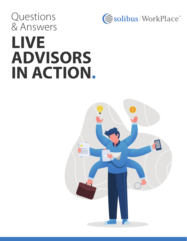Questions & Answers



# **LIVE ADVISORS IN ACTION.**

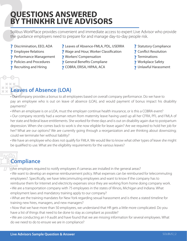## **QUESTIONS ANSWERED BY THINKHR LIVE ADVISORS**

Solibus WorkPlace provides convenient and immediate access to expert Live Advisor who provide the guidance employers need to prepare for and manage day-to-day people risk.

- ? Discrimination, EEO, ADA
- ? Employee Relations
- ? Performance Management
- **?** Policies and Procedures
- ? Recruiting and Hiring

 $X$   $X$   $X$ 

- ? Leaves of Absence-FMLA, PDL, USERRA
- ? Wage and Hour, Worker Classification
- ? Workers' Compensation
- **7** General Benefits Compliane
- **?** COBRA, ERISA, HIPAA, ACA
- ? Statutory Compliance
- ? Conflict Resolution
- **7** Terminations
- **7** Workplace Safety
- **7** Unlawful Harassment

#### XX) **Leaves of Absence (LOA)**  $\mathbf{x}$   $\mathbf{x}$

• Our company provides a bonus to all employees based on overall company performance. Do we have to pay an employee who is out on leave of absence (LOA), and would payment of bonus impact his disability payments?

• When an employee is on a LOA, must the employer continue health insurance, or is this a COBRA event?

• Our company recently had a woman return from maternity leave having used up all her CFRA, PFL and FMLA of her state and federal leave entitlements. She worked for three days and is out on disability again due to postpartum depression. When she comes back to work is she now eligible for leave again? Are we required to hold her job for her? What are our options? We are currently going through a reorganization and are thinking about downsizing; could we terminate her without liability?

• We have an employee who does not qualify for FMLA. We would like to know what other types of leave she might be qualified to use. What are the eligibility requirements for the various leaves?

## **Compliance**

- Are employers required to notify employees if cameras are installed in the general areas?
- We want to develop an expense reimbursement policy. What expenses can be reimbursed for telecommuting employees?. Specifically, we have telecommuting employees and want to know if the company has to reimburse them for Internet and electricity expenses since they are working from home doing company work.
- We are a transportation company with 75 employees in the states of Illinois, Michigan and Indiana. What employment laws and mandatory training apply to our company?
- What are the training mandates for New York regarding sexual harassment and is there a stated timeline for training new hires, managers, and new managers?
- Now that we have more than 50 employees, we understand that HR gets a little more complicated. Do you have a list of things that need to be done to stay as compliant as possible?
- We are conducting an I-9 audit and have found that we are missing information for several employees. What do we need to do to ensure we are in compliance?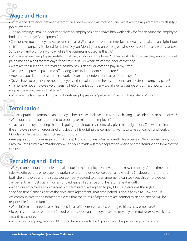## **Wage and Hour**

• What is the difference between exempt and nonexempt classifications and what are the requirements to classify a job as exempt?

• Can an employer make a deduction from an employee's pay or have him work a day for free because the employee broke the employer's equipment?

• Can nonexempt employees waive lunch breaks? What are the requirements for the two rest breaks for an eight-hour shift? If the company is closed for Labor Day on Monday, and an employee who works on Sundays wants to take Sunday off and work on Monday while the business is closed, is this ok?

• What are salaried employees entitled to if they work overtime hours? If they work a holiday are they entitled to get paid time and a half for that day? If they take a day or week off can we deduct that pay?

- What are the rules about providing holiday pay, sick pay, or vacation pay in my state?
- Do I have to provide paid time off to long-term independent contractors?
- How can you determine whether a worker is an independent contractor or employee?
- Do we have to pay nonexempt employees if they volunteer to help set up or clean up after a company party?
- If a nonexempt employee volunteers to help organize company social events outside of business hours, must we pay the employee for that time?
- What are the laws regarding paying hourly employees on a "piece work" basis in the state of Missouri?

#### **Termination**

• Is it acceptable to terminate an employee because we believe he is at risk of having an accident as an older driver? • What documentation is required to properly terminate an employee?

• I have an employee stating that he is going to quit but hasn't officially given his resignation. Can we terminate the employee now on grounds of anticipating his quitting the company? wants to take Sunday off and work on Monday while the business is closed, is this ok?

• Are separation notices required in Arizona, Florida, Indiana, Massachusetts, New Jersey, Ohio, Pennsylvania, South Carolina, Texas, Virginia or Washington? Can you provide a sample separation notice or other termination form that we can use?

#### **Recruiting and Hiring**

• We sold one of our companies and all of our former employees moved to the new company. At the time of the sale, we offered one employee the option to return to us once we open a new facility (in about a month), and both the employee and the successor company agreed to this arrangement. Can we keep this employee on our benefits and just put him on an unpaid leave of absence until he returns next month?

• When our employee's employment was terminated, we agreed to pay COBRA premiums through a specified time frame as part of the severance agreement. That time period is about to expire. How should we communicate to the former employee that the terms of agreement are coming to an end and he will be responsible for premiums?

- What information needs to be included in an offer letter we are extending to hire a new employee?
- To be in compliance with the I-9 requirements, does an employer have to re-verify an employee's driver license once it has expired?
- Who in our company, besides HR, should have access to background and drug screening for new hires?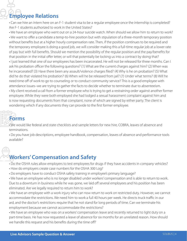#### **Employee Relations**

• Can we hire an intern here on an F-1 student visa to be a regular employee once the internship is completed? Are F-1 students authorized to work in the United States?

• We have an employee who went out on a 24-hour suicide watch. When should we allow him to return to work? • We want to offer a candidate a temp-to-hire position but with stipulation of a three-month temporary position without benefits but at a higher hourly compensation rate. Then, if the position continues to be required and the temporary employee is doing a good job, we will consider making this a full-time regular job at a lower rate of pay but with full benefits. Should we mention the possibility of the regular position and the pay/benefits for that position in the initial offer letter, or will that potentially be locking us into a contract by doing that?

• I just learned that one of our employees has been incarcerated. He will not be released for three months. Can I ask his probation officer the following questions? (1) What are the current charges against him? (2) When was he incarcerated? (3) Have there been any assault/violence charges filed? (4) Why is he on probation? (5) What did he do that violated his probation? (6) When will he be released from jail? (7) Under what terms? (8) Will he need time off of work to go to counseling or to conduct community service? This is a good employee with attendance issues–we are trying to gather the facts to decide whether to terminate due to absenteeism.

• My client received a call from a former employee who is trying to get a restraining order against another former employee. While they were both employed she had lodged a sexual harassment complaint against him and is now requesting documents from that complaint, none of which are signed by either party. The client is wondering which if any documents they can provide to the first former employee.

# **Forms**

• We would like federal and state checklists and sample letters for new hire, COBRA, leaves of absence and terminations.

• Do you have job descriptions, employee handbook, compensation, leaves of absence and performance tools available?

#### **Workers' Compensation and Safety**

- Do the OSHA rules allow employers to test employees for drugs if they have accidents in company vehicles?
- How do employers create case numbers for the OSHA 300 Log?
- Do employers have to conduct OSHA safety training in employee's primary language?

• We have an employee who is no longer disabled under workers' compensation and is able to return to work. Due to a downturn in business while he was gone, we laid off several employees and his position has been eliminated. Are we legally required to return him to work?

• We have an employee with a work injury who can now return to work on restricted duty. However, we cannot accommodate the restrictions. We need him to work a full 40 hours per week. He directs truck traffic in our ard, and the doctor's restrictions require that he not stand for long periods of time. Can we terminate his employment because we cannot accommodate the restrictions?

• We have an employee who was on a workers' compensation leave and recently returned to light duty on a part-time basis. He has now requested a leave of absence for six months for an unrelated reason. How should we handle this request and his benefits during the time off?